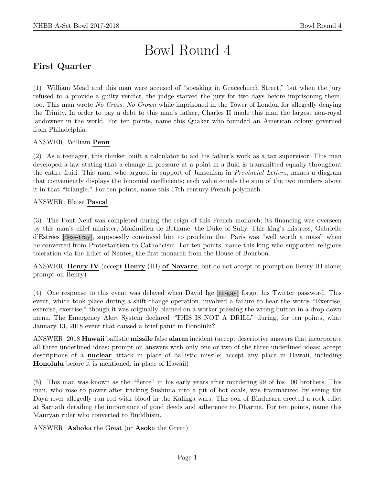# Bowl Round 4

# First Quarter

(1) William Mead and this man were accused of "speaking in Gracechurch Street," but when the jury refused to a provide a guilty verdict, the judge starved the jury for two days before imprisoning them, too. This man wrote No Cross, No Crown while imprisoned in the Tower of London for allegedly denying the Trinity. In order to pay a debt to this man's father, Charles II made this man the largest non-royal landowner in the world. For ten points, name this Quaker who founded an American colony governed from Philadelphia.

ANSWER: William Penn

(2) As a teenager, this thinker built a calculator to aid his father's work as a tax supervisor. This man developed a law stating that a change in pressure at a point in a fluid is transmitted equally throughout the entire fluid. This man, who argued in support of Jansenism in Provincial Letters, names a diagram that conveniently displays the binomial coefficients; each value equals the sum of the two numbers above it in that "triangle." For ten points, name this 17th century French polymath.

ANSWER: Blaise Pascal

(3) The Pont Neuf was completed during the reign of this French monarch; its financing was overseen by this man's chief minister, Maximilien de Bethune, the Duke of Sully. This king's mistress, Gabrielle d'Estrées [dess-tray], supposedly convinced him to proclaim that Paris was "well worth a mass" when he converted from Protestantism to Catholicism. For ten points, name this king who supported religious toleration via the Edict of Nantes, the first monarch from the House of Bourbon.

ANSWER: Henry IV (accept Henry (III) of Navarre, but do not accept or prompt on Henry III alone; prompt on Henry)

(4) One response to this event was delayed when David Ige [ee-gay] forgot his Twitter password. This event, which took place during a shift-change operation, involved a failure to hear the words "Exercise, exercise, exercise," though it was originally blamed on a worker pressing the wrong button in a drop-down menu. The Emergency Alert System declared "THIS IS NOT A DRILL" during, for ten points, what January 13, 2018 event that caused a brief panic in Honolulu?

ANSWER: 2018 Hawaii ballistic missile false alarm incident (accept descriptive answers that incorporate all three underlined ideas; prompt on answers with only one or two of the three underlined ideas; accept descriptions of a nuclear attack in place of ballistic missile; accept any place in Hawaii, including Honolulu before it is mentioned, in place of Hawaii)

(5) This man was known as the "fierce" in his early years after murdering 99 of his 100 brothers. This man, who rose to power after tricking Sushima into a pit of hot coals, was traumatized by seeing the Daya river allegedly run red with blood in the Kalinga wars. This son of Bindusara erected a rock edict at Sarnath detailing the importance of good deeds and adherence to Dharma. For ten points, name this Mauryan ruler who converted to Buddhism.

ANSWER: Ashoka the Great (or Asoka the Great)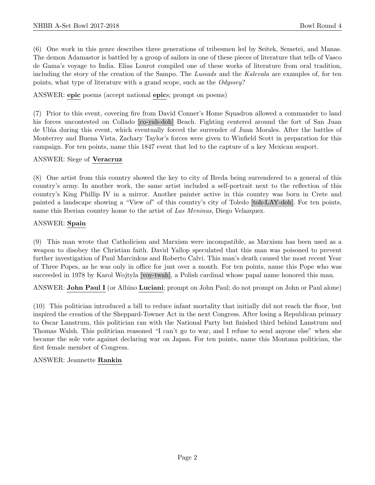(6) One work in this genre describes three generations of tribesmen led by Seitek, Semetei, and Manas. The demon Adamastor is battled by a group of sailors in one of these pieces of literature that tells of Vasco de Gama's voyage to India. Elias Lonrot compiled one of these works of literature from oral tradition, including the story of the creation of the Sampo. The Lusiads and the Kalevala are examples of, for ten points, what type of literature with a grand scope, such as the Odyssey?

ANSWER: epic poems (accept national epics; prompt on poems)

(7) Prior to this event, covering fire from David Conner's Home Squadron allowed a commander to land his forces uncontested on Collado [co-yah-doh] Beach. Fighting centered around the fort of San Juan de Ul´ua during this event, which eventually forced the surrender of Juan Morales. After the battles of Monterrey and Buena Vista, Zachary Taylor's forces were given to Winfield Scott in preparation for this campaign. For ten points, name this 1847 event that led to the capture of a key Mexican seaport.

#### ANSWER: Siege of Veracruz

(8) One artist from this country showed the key to city of Breda being surrendered to a general of this country's army. In another work, the same artist included a self-portrait next to the reflection of this country's King Phillip IV in a mirror. Another painter active in this country was born in Crete and painted a landscape showing a "View of" of this country's city of Toledo [toh-LAY-doh]. For ten points, name this Iberian country home to the artist of Las Meninas, Diego Velazquez.

# ANSWER: Spain

(9) This man wrote that Catholicism and Marxism were incompatible, as Marxism has been used as a weapon to disobey the Christian faith. David Yallop speculated that this man was poisoned to prevent further investigation of Paul Marcinkus and Roberto Calvi. This man's death caused the most recent Year of Three Popes, as he was only in office for just over a month. For ten points, name this Pope who was succeeded in 1978 by Karol Wojtyla [voy-twah], a Polish cardinal whose papal name honored this man.

ANSWER: John Paul I (or Albino Luciani; prompt on John Paul; do not prompt on John or Paul alone)

(10) This politician introduced a bill to reduce infant mortality that initially did not reach the floor, but inspired the creation of the Sheppard-Towner Act in the next Congress. After losing a Republican primary to Oscar Lanstrum, this politician ran with the National Party but finished third behind Lanstrum and Thomas Walsh. This politician reasoned "I can't go to war, and I refuse to send anyone else" when she became the sole vote against declaring war on Japan. For ten points, name this Montana politician, the first female member of Congress.

# ANSWER: Jeannette Rankin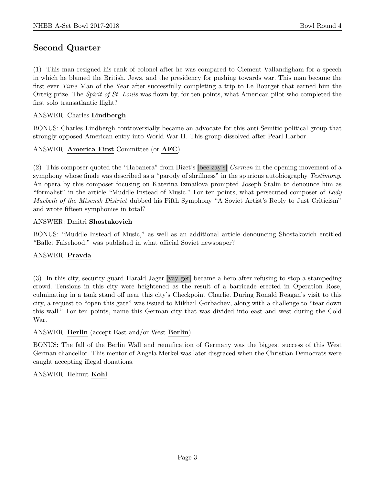# Second Quarter

(1) This man resigned his rank of colonel after he was compared to Clement Vallandigham for a speech in which he blamed the British, Jews, and the presidency for pushing towards war. This man became the first ever Time Man of the Year after successfully completing a trip to Le Bourget that earned him the Orteig prize. The *Spirit of St. Louis* was flown by, for ten points, what American pilot who completed the first solo transatlantic flight?

#### ANSWER: Charles Lindbergh

BONUS: Charles Lindbergh controversially became an advocate for this anti-Semitic political group that strongly opposed American entry into World War II. This group dissolved after Pearl Harbor.

# ANSWER: America First Committee (or AFC)

(2) This composer quoted the "Habanera" from Bizet's [bee-zay's] Carmen in the opening movement of a symphony whose finale was described as a "parody of shrillness" in the spurious autobiography Testimony. An opera by this composer focusing on Katerina Izmailova prompted Joseph Stalin to denounce him as "formalist" in the article "Muddle Instead of Music." For ten points, what persecuted composer of Lady Macbeth of the Mtsensk District dubbed his Fifth Symphony "A Soviet Artist's Reply to Just Criticism" and wrote fifteen symphonies in total?

#### ANSWER: Dmitri Shostakovich

BONUS: "Muddle Instead of Music," as well as an additional article denouncing Shostakovich entitled "Ballet Falsehood," was published in what official Soviet newspaper?

#### ANSWER: Pravda

(3) In this city, security guard Harald Jager [yay-ger] became a hero after refusing to stop a stampeding crowd. Tensions in this city were heightened as the result of a barricade erected in Operation Rose, culminating in a tank stand off near this city's Checkpoint Charlie. During Ronald Reagan's visit to this city, a request to "open this gate" was issued to Mikhail Gorbachev, along with a challenge to "tear down this wall." For ten points, name this German city that was divided into east and west during the Cold War.

#### ANSWER: Berlin (accept East and/or West Berlin)

BONUS: The fall of the Berlin Wall and reunification of Germany was the biggest success of this West German chancellor. This mentor of Angela Merkel was later disgraced when the Christian Democrats were caught accepting illegal donations.

#### ANSWER: Helmut Kohl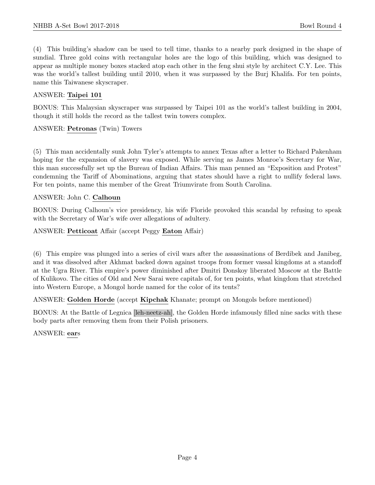(4) This building's shadow can be used to tell time, thanks to a nearby park designed in the shape of sundial. Three gold coins with rectangular holes are the logo of this building, which was designed to appear as multiple money boxes stacked atop each other in the feng shui style by architect C.Y. Lee. This was the world's tallest building until 2010, when it was surpassed by the Burj Khalifa. For ten points, name this Taiwanese skyscraper.

#### ANSWER: Taipei 101

BONUS: This Malaysian skyscraper was surpassed by Taipei 101 as the world's tallest building in 2004, though it still holds the record as the tallest twin towers complex.

#### ANSWER: Petronas (Twin) Towers

(5) This man accidentally sunk John Tyler's attempts to annex Texas after a letter to Richard Pakenham hoping for the expansion of slavery was exposed. While serving as James Monroe's Secretary for War, this man successfully set up the Bureau of Indian Affairs. This man penned an "Exposition and Protest" condemning the Tariff of Abominations, arguing that states should have a right to nullify federal laws. For ten points, name this member of the Great Triumvirate from South Carolina.

#### ANSWER: John C. Calhoun

BONUS: During Calhoun's vice presidency, his wife Floride provoked this scandal by refusing to speak with the Secretary of War's wife over allegations of adultery.

ANSWER: Petticoat Affair (accept Peggy Eaton Affair)

(6) This empire was plunged into a series of civil wars after the assassinations of Berdibek and Janibeg, and it was dissolved after Akhmat backed down against troops from former vassal kingdoms at a standoff at the Ugra River. This empire's power diminished after Dmitri Donskoy liberated Moscow at the Battle of Kulikovo. The cities of Old and New Sarai were capitals of, for ten points, what kingdom that stretched into Western Europe, a Mongol horde named for the color of its tents?

ANSWER: Golden Horde (accept Kipchak Khanate; prompt on Mongols before mentioned)

BONUS: At the Battle of Legnica [leh-neetz-ah], the Golden Horde infamously filled nine sacks with these body parts after removing them from their Polish prisoners.

ANSWER: ears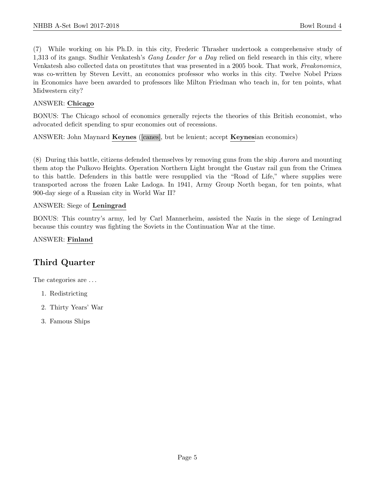(7) While working on his Ph.D. in this city, Frederic Thrasher undertook a comprehensive study of 1,313 of its gangs. Sudhir Venkatesh's *Gang Leader for a Day* relied on field research in this city, where Venkatesh also collected data on prostitutes that was presented in a 2005 book. That work, Freakonomics, was co-written by Steven Levitt, an economics professor who works in this city. Twelve Nobel Prizes in Economics have been awarded to professors like Milton Friedman who teach in, for ten points, what Midwestern city?

#### ANSWER: Chicago

BONUS: The Chicago school of economics generally rejects the theories of this British economist, who advocated deficit spending to spur economies out of recessions.

ANSWER: John Maynard Keynes ([canes], but be lenient; accept Keynesian economics)

(8) During this battle, citizens defended themselves by removing guns from the ship Aurora and mounting them atop the Pulkovo Heights. Operation Northern Light brought the Gustav rail gun from the Crimea to this battle. Defenders in this battle were resupplied via the "Road of Life," where supplies were transported across the frozen Lake Ladoga. In 1941, Army Group North began, for ten points, what 900-day siege of a Russian city in World War II?

#### ANSWER: Siege of Leningrad

BONUS: This country's army, led by Carl Mannerheim, assisted the Nazis in the siege of Leningrad because this country was fighting the Soviets in the Continuation War at the time.

#### ANSWER: Finland

# Third Quarter

The categories are . . .

- 1. Redistricting
- 2. Thirty Years' War
- 3. Famous Ships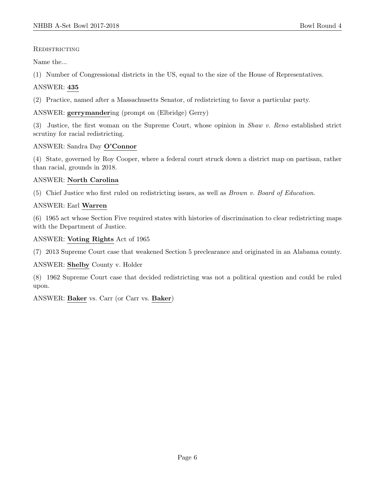#### **REDISTRICTING**

Name the...

(1) Number of Congressional districts in the US, equal to the size of the House of Representatives.

# ANSWER: 435

(2) Practice, named after a Massachusetts Senator, of redistricting to favor a particular party.

# ANSWER: gerrymandering (prompt on (Elbridge) Gerry)

(3) Justice, the first woman on the Supreme Court, whose opinion in Shaw v. Reno established strict scrutiny for racial redistricting.

# ANSWER: Sandra Day O'Connor

(4) State, governed by Roy Cooper, where a federal court struck down a district map on partisan, rather than racial, grounds in 2018.

# ANSWER: North Carolina

(5) Chief Justice who first ruled on redistricting issues, as well as Brown v. Board of Education.

# ANSWER: Earl Warren

(6) 1965 act whose Section Five required states with histories of discrimination to clear redistricting maps with the Department of Justice.

#### ANSWER: Voting Rights Act of 1965

(7) 2013 Supreme Court case that weakened Section 5 preclearance and originated in an Alabama county.

#### ANSWER: Shelby County v. Holder

(8) 1962 Supreme Court case that decided redistricting was not a political question and could be ruled upon.

#### ANSWER: Baker vs. Carr (or Carr vs. Baker)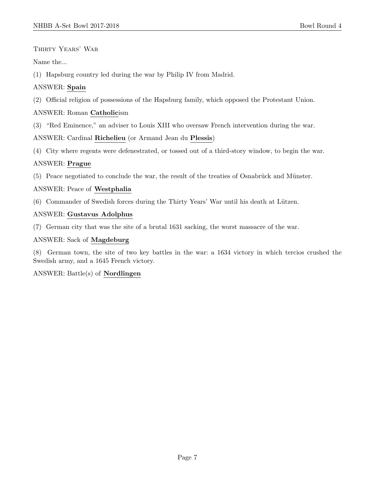THIRTY YEARS' WAR

Name the...

(1) Hapsburg country led during the war by Philip IV from Madrid.

# ANSWER: Spain

(2) Official religion of possessions of the Hapsburg family, which opposed the Protestant Union.

# ANSWER: Roman Catholicism

(3) "Red Eminence," an adviser to Louis XIII who oversaw French intervention during the war.

ANSWER: Cardinal Richelieu (or Armand Jean du Plessis)

(4) City where regents were defenestrated, or tossed out of a third-story window, to begin the war.

#### ANSWER: Prague

 $(5)$  Peace negotiated to conclude the war, the result of the treaties of Osnabrück and Münster.

#### ANSWER: Peace of Westphalia

 $(6)$  Commander of Swedish forces during the Thirty Years' War until his death at Lützen.

#### ANSWER: Gustavus Adolphus

(7) German city that was the site of a brutal 1631 sacking, the worst massacre of the war.

# ANSWER: Sack of Magdeburg

(8) German town, the site of two key battles in the war: a 1634 victory in which tercios crushed the Swedish army, and a 1645 French victory.

#### ANSWER: Battle(s) of Nordlingen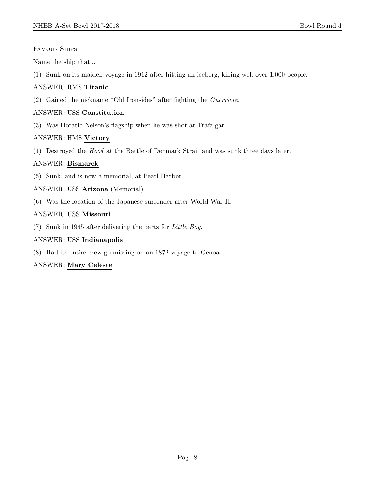#### Famous Ships

Name the ship that...

(1) Sunk on its maiden voyage in 1912 after hitting an iceberg, killing well over 1,000 people.

# ANSWER: RMS Titanic

(2) Gained the nickname "Old Ironsides" after fighting the Guerriere.

# ANSWER: USS Constitution

(3) Was Horatio Nelson's flagship when he was shot at Trafalgar.

# ANSWER: HMS Victory

(4) Destroyed the Hood at the Battle of Denmark Strait and was sunk three days later.

# ANSWER: Bismarck

(5) Sunk, and is now a memorial, at Pearl Harbor.

# ANSWER: USS Arizona (Memorial)

(6) Was the location of the Japanese surrender after World War II.

# ANSWER: USS Missouri

(7) Sunk in 1945 after delivering the parts for Little Boy.

# ANSWER: USS Indianapolis

(8) Had its entire crew go missing on an 1872 voyage to Genoa.

# ANSWER: Mary Celeste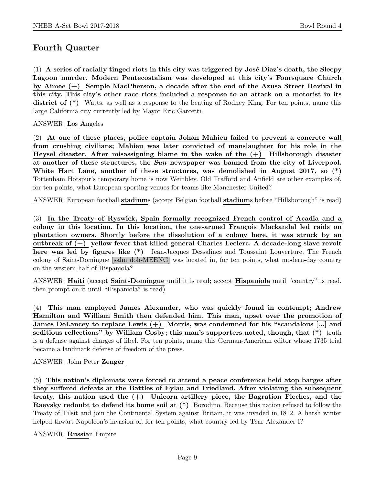# Fourth Quarter

 $(1)$  A series of racially tinged riots in this city was triggered by José Diaz's death, the Sleepy Lagoon murder. Modern Pentecostalism was developed at this city's Foursquare Church by Aimee (+) Semple MacPherson, a decade after the end of the Azusa Street Revival in this city. This city's other race riots included a response to an attack on a motorist in its district of (\*) Watts, as well as a response to the beating of Rodney King. For ten points, name this large California city currently led by Mayor Eric Garcetti.

# ANSWER: Los Angeles

(2) At one of these places, police captain Johan Mahieu failed to prevent a concrete wall from crushing civilians; Mahieu was later convicted of manslaughter for his role in the Heysel disaster. After misassigning blame in the wake of the  $(+)$  Hillsborough disaster at another of these structures, the Sun newspaper was banned from the city of Liverpool. White Hart Lane, another of these structures, was demolished in August 2017, so (\*) Tottenham Hotspur's temporary home is now Wembley. Old Trafford and Anfield are other examples of, for ten points, what European sporting venues for teams like Manchester United?

ANSWER: European football stadiums (accept Belgian football stadiums before "Hillsborough" is read)

(3) In the Treaty of Ryswick, Spain formally recognized French control of Acadia and a colony in this location. In this location, the one-armed François Mackandal led raids on plantation owners. Shortly before the dissolution of a colony here, it was struck by an outbreak of (+) yellow fever that killed general Charles Leclerc. A decade-long slave revolt here was led by figures like  $(*)$  Jean-Jacques Dessalines and Toussaint Louverture. The French colony of Saint-Domingue [sahn doh-MEENG] was located in, for ten points, what modern-day country on the western half of Hispaniola?

ANSWER: Haiti (accept Saint-Domingue until it is read; accept Hispaniola until "country" is read, then prompt on it until "Hispaniola" is read)

(4) This man employed James Alexander, who was quickly found in contempt; Andrew Hamilton and William Smith then defended him. This man, upset over the promotion of James DeLancey to replace Lewis (+) Morris, was condemned for his "scandalous [...] and seditious reflections" by William Cosby; this man's supporters noted, though, that  $(*)$  truth is a defense against charges of libel. For ten points, name this German-American editor whose 1735 trial became a landmark defense of freedom of the press.

#### ANSWER: John Peter Zenger

(5) This nation's diplomats were forced to attend a peace conference held atop barges after they suffered defeats at the Battles of Eylau and Friedland. After violating the subsequent treaty, this nation used the (+) Unicorn artillery piece, the Bagration Fleches, and the Raevsky redoubt to defend its home soil at (\*) Borodino. Because this nation refused to follow the Treaty of Tilsit and join the Continental System against Britain, it was invaded in 1812. A harsh winter helped thwart Napoleon's invasion of, for ten points, what country led by Tsar Alexander I?

ANSWER: Russian Empire